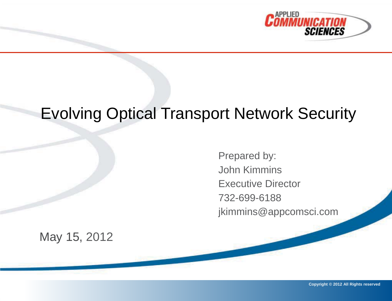

#### Evolving Optical Transport Network Security

Prepared by: John Kimmins Executive Director 732-699-6188 jkimmins@appcomsci.com

May 15, 2012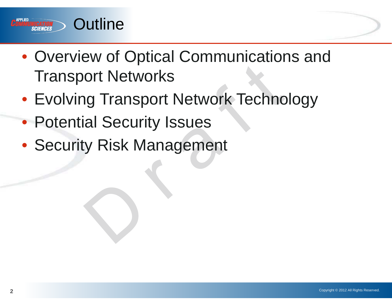

- Overview of Optical Communications and Transport Networks
- Evolving Transport Network Technology
- Potential Security Issues
- Security Risk Management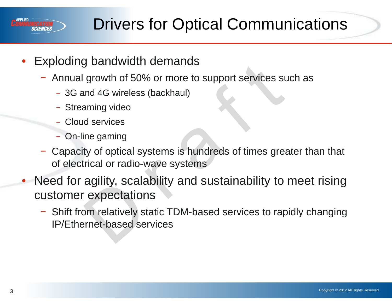

## Drivers for Optical Communications

- Exploding bandwidth demands
	- − Annual growth of 50% or more to support services such as
		- − 3G and 4G wireless (backhaul)
		- − Streaming video
		- − Cloud services
		- − On-line gaming
	- − Capacity of optical systems is hundreds of times greater than that of electrical or radio-wave systems
- Need for agility, scalability and sustainability to meet rising customer expectations
	- − Shift from relatively static TDM-based services to rapidly changing IP/Ethernet-based services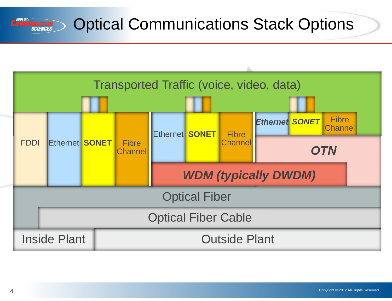#### **APPLIED** Optical Communications Stack Options **NICATION<br>Sciences**

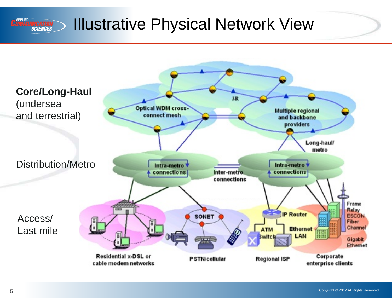

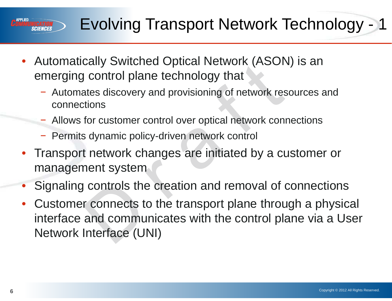# Evolving Transport Network Technology - 1

- Automatically Switched Optical Network (ASON) is an emerging control plane technology that
	- − Automates discovery and provisioning of network resources and connections
	- − Allows for customer control over optical network connections
	- − Permits dynamic policy-driven network control
- Transport network changes are initiated by a customer or management system
- Signaling controls the creation and removal of connections
- Customer connects to the transport plane through a physical interface and communicates with the control plane via a User Network Interface (UNI)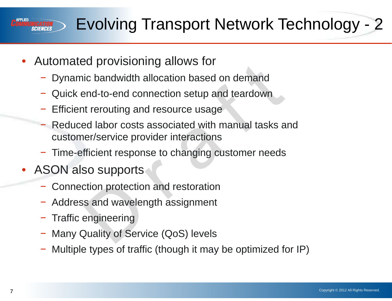# Evolving Transport Network Technology - 2

- Automated provisioning allows for
	- Dynamic bandwidth allocation based on demand
	- Quick end-to-end connection setup and teardown
	- Efficient rerouting and resource usage
	- − Reduced labor costs associated with manual tasks and customer/service provider interactions
	- − Time-efficient response to changing customer needs
- ASON also supports
	- − Connection protection and restoration
	- Address and wavelength assignment
	- − Traffic engineering
	- − Many Quality of Service (QoS) levels
	- Multiple types of traffic (though it may be optimized for IP)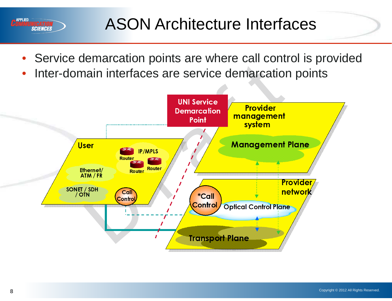

- Service demarcation points are where call control is provided
- Inter-domain interfaces are service demarcation points



**APPLIED** 

*SCIENCES*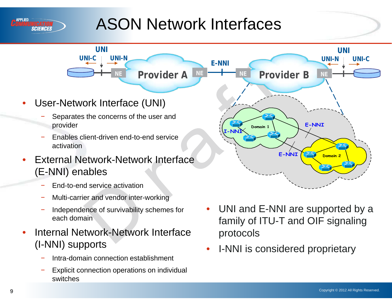

# ASON Network Interfaces

**Provider A** 

**E-NNI**

**I-NNI**

• User-Network Interface (UNI)

**UNI UNI-C UNI-N**

- Separates the concerns of the user and provider
- Enables client-driven end-to-end service activation
- External Network-Network Interface (E-NNI) enables
	- End-to-end service activation
	- − Multi-carrier and vendor inter-working
	- Independence of survivability schemes for each domain
- Internal Network-Network Interface (I-NNI) supports
	- − Intra-domain connection establishment
	- Explicit connection operations on individual switches

UNI and E-NNI are supported by a family of ITU-T and OIF signaling protocols

**E-NNI Domain 2** 

**E-NNI**

**UNI UNI-N UNI-C**

**Provider A Provider B NE**

**Domain 1**

• I-NNI is considered proprietary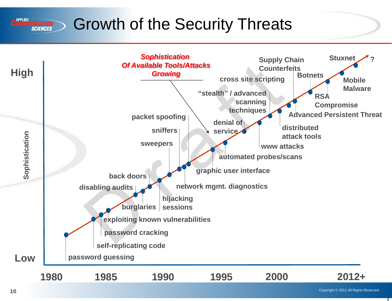#### Growth of the Security Threats **SCIENCES**



1

**APPLIED**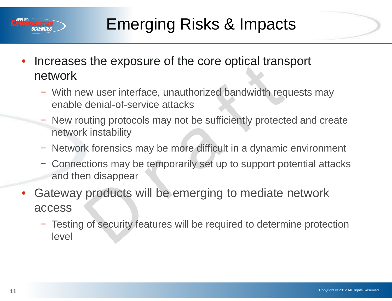

- Increases the exposure of the core optical transport network
	- − With new user interface, unauthorized bandwidth requests may enable denial-of-service attacks
	- New routing protocols may not be sufficiently protected and create network instability
	- − Network forensics may be more difficult in a dynamic environment
	- Connections may be temporarily set up to support potential attacks and then disappear
- Gateway products will be emerging to mediate network access
	- − Testing of security features will be required to determine protection level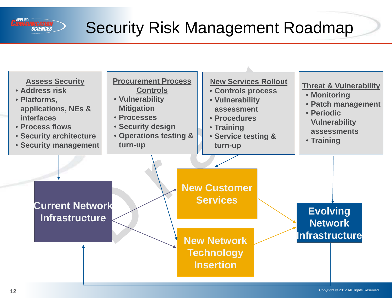

#### Security Risk Management Roadmap